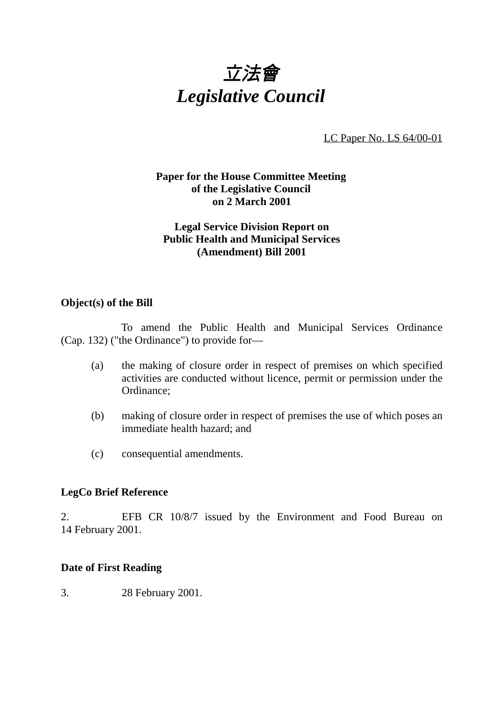

LC Paper No. LS 64/00-01

# **Paper for the House Committee Meeting of the Legislative Council on 2 March 2001**

# **Legal Service Division Report on Public Health and Municipal Services (Amendment) Bill 2001**

### **Object(s) of the Bill**

To amend the Public Health and Municipal Services Ordinance (Cap. 132) ("the Ordinance") to provide for—

- (a) the making of closure order in respect of premises on which specified activities are conducted without licence, permit or permission under the Ordinance;
- (b) making of closure order in respect of premises the use of which poses an immediate health hazard; and
- (c) consequential amendments.

### **LegCo Brief Reference**

2. EFB CR 10/8/7 issued by the Environment and Food Bureau on 14 February 2001.

### **Date of First Reading**

3. 28 February 2001.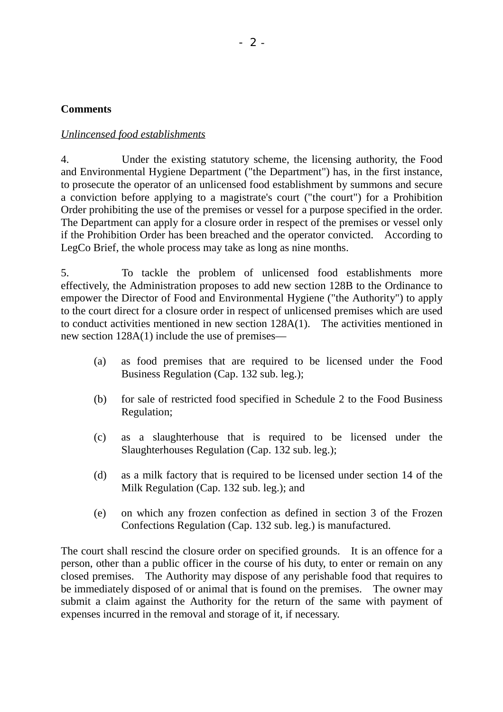# **Comments**

# *Unlincensed food establishments*

4. Under the existing statutory scheme, the licensing authority, the Food and Environmental Hygiene Department ("the Department") has, in the first instance, to prosecute the operator of an unlicensed food establishment by summons and secure a conviction before applying to a magistrate's court ("the court") for a Prohibition Order prohibiting the use of the premises or vessel for a purpose specified in the order. The Department can apply for a closure order in respect of the premises or vessel only if the Prohibition Order has been breached and the operator convicted. According to LegCo Brief, the whole process may take as long as nine months.

5. To tackle the problem of unlicensed food establishments more effectively, the Administration proposes to add new section 128B to the Ordinance to empower the Director of Food and Environmental Hygiene ("the Authority") to apply to the court direct for a closure order in respect of unlicensed premises which are used to conduct activities mentioned in new section 128A(1). The activities mentioned in new section 128A(1) include the use of premises—

- (a) as food premises that are required to be licensed under the Food Business Regulation (Cap. 132 sub. leg.);
- (b) for sale of restricted food specified in Schedule 2 to the Food Business Regulation;
- (c) as a slaughterhouse that is required to be licensed under the Slaughterhouses Regulation (Cap. 132 sub. leg.);
- (d) as a milk factory that is required to be licensed under section 14 of the Milk Regulation (Cap. 132 sub. leg.); and
- (e) on which any frozen confection as defined in section 3 of the Frozen Confections Regulation (Cap. 132 sub. leg.) is manufactured.

The court shall rescind the closure order on specified grounds. It is an offence for a person, other than a public officer in the course of his duty, to enter or remain on any closed premises. The Authority may dispose of any perishable food that requires to be immediately disposed of or animal that is found on the premises. The owner may submit a claim against the Authority for the return of the same with payment of expenses incurred in the removal and storage of it, if necessary.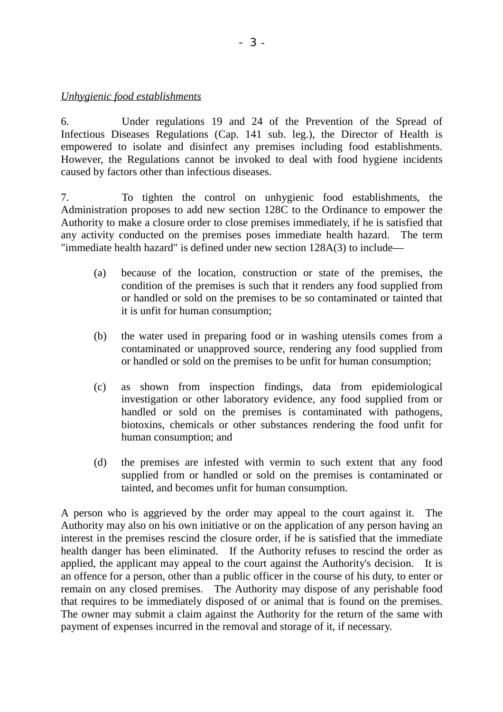### *Unhygienic food establishments*

6. Under regulations 19 and 24 of the Prevention of the Spread of Infectious Diseases Regulations (Cap. 141 sub. leg.), the Director of Health is empowered to isolate and disinfect any premises including food establishments. However, the Regulations cannot be invoked to deal with food hygiene incidents caused by factors other than infectious diseases.

7. To tighten the control on unhygienic food establishments, the Administration proposes to add new section 128C to the Ordinance to empower the Authority to make a closure order to close premises immediately, if he is satisfied that any activity conducted on the premises poses immediate health hazard. The term "immediate health hazard" is defined under new section 128A(3) to include—

- (a) because of the location, construction or state of the premises, the condition of the premises is such that it renders any food supplied from or handled or sold on the premises to be so contaminated or tainted that it is unfit for human consumption;
- (b) the water used in preparing food or in washing utensils comes from a contaminated or unapproved source, rendering any food supplied from or handled or sold on the premises to be unfit for human consumption;
- (c) as shown from inspection findings, data from epidemiological investigation or other laboratory evidence, any food supplied from or handled or sold on the premises is contaminated with pathogens, biotoxins, chemicals or other substances rendering the food unfit for human consumption; and
- (d) the premises are infested with vermin to such extent that any food supplied from or handled or sold on the premises is contaminated or tainted, and becomes unfit for human consumption.

A person who is aggrieved by the order may appeal to the court against it. The Authority may also on his own initiative or on the application of any person having an interest in the premises rescind the closure order, if he is satisfied that the immediate health danger has been eliminated. If the Authority refuses to rescind the order as applied, the applicant may appeal to the court against the Authority's decision. It is an offence for a person, other than a public officer in the course of his duty, to enter or remain on any closed premises. The Authority may dispose of any perishable food that requires to be immediately disposed of or animal that is found on the premises. The owner may submit a claim against the Authority for the return of the same with payment of expenses incurred in the removal and storage of it, if necessary.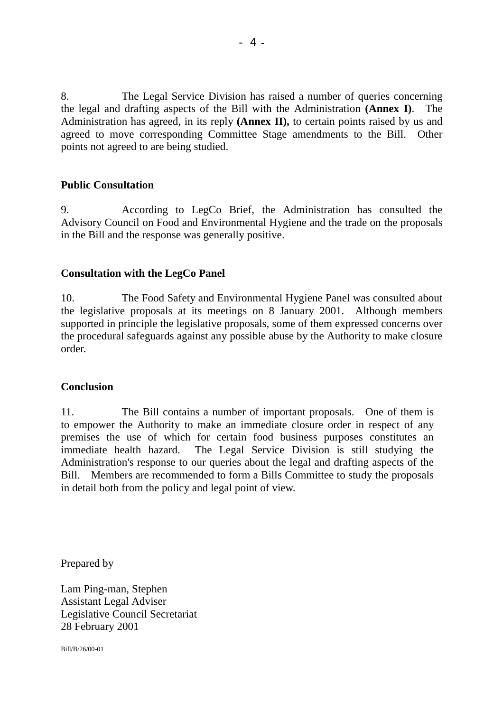8. The Legal Service Division has raised a number of queries concerning the legal and drafting aspects of the Bill with the Administration **(Annex I)**. The Administration has agreed, in its reply **(Annex II),** to certain points raised by us and agreed to move corresponding Committee Stage amendments to the Bill. Other points not agreed to are being studied.

### **Public Consultation**

9. According to LegCo Brief, the Administration has consulted the Advisory Council on Food and Environmental Hygiene and the trade on the proposals in the Bill and the response was generally positive.

### **Consultation with the LegCo Panel**

10. The Food Safety and Environmental Hygiene Panel was consulted about the legislative proposals at its meetings on 8 January 2001. Although members supported in principle the legislative proposals, some of them expressed concerns over the procedural safeguards against any possible abuse by the Authority to make closure order.

### **Conclusion**

11. The Bill contains a number of important proposals. One of them is to empower the Authority to make an immediate closure order in respect of any premises the use of which for certain food business purposes constitutes an immediate health hazard. The Legal Service Division is still studying the Administration's response to our queries about the legal and drafting aspects of the Bill. Members are recommended to form a Bills Committee to study the proposals in detail both from the policy and legal point of view.

Prepared by

Lam Ping-man, Stephen Assistant Legal Adviser Legislative Council Secretariat 28 February 2001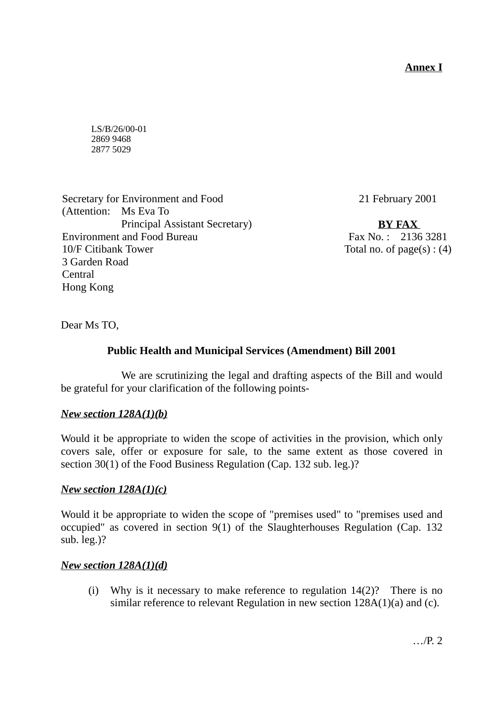# **Annex I**

LS/B/26/00-01 2869 9468 2877 5029

Secretary for Environment and Food (Attention: Ms Eva To Principal Assistant Secretary) Environment and Food Bureau 10/F Citibank Tower 3 Garden Road Central Hong Kong

21 February 2001

**BY FAX** Fax No. : 2136 3281 Total no. of  $page(s)$ : (4)

Dear Ms TO,

# **Public Health and Municipal Services (Amendment) Bill 2001**

We are scrutinizing the legal and drafting aspects of the Bill and would be grateful for your clarification of the following points-

# *New section 128A(1)(b)*

Would it be appropriate to widen the scope of activities in the provision, which only covers sale, offer or exposure for sale, to the same extent as those covered in section 30(1) of the Food Business Regulation (Cap. 132 sub. leg.)?

### *New section 128A(1)(c)*

Would it be appropriate to widen the scope of "premises used" to "premises used and occupied" as covered in section 9(1) of the Slaughterhouses Regulation (Cap. 132 sub. leg.)?

### *New section 128A(1)(d)*

(i) Why is it necessary to make reference to regulation  $14(2)$ ? There is no similar reference to relevant Regulation in new section 128A(1)(a) and (c).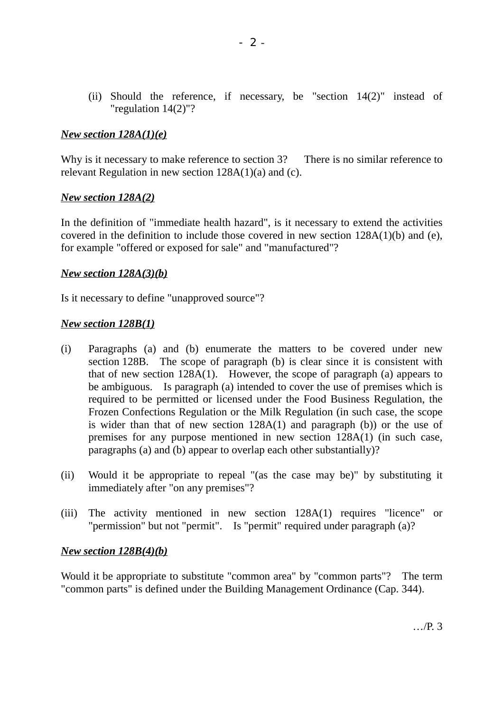(ii) Should the reference, if necessary, be "section 14(2)" instead of "regulation 14(2)"?

### *New section 128A(1)(e)*

Why is it necessary to make reference to section 3? There is no similar reference to relevant Regulation in new section 128A(1)(a) and (c).

### *New section 128A(2)*

In the definition of "immediate health hazard", is it necessary to extend the activities covered in the definition to include those covered in new section 128A(1)(b) and (e), for example "offered or exposed for sale" and "manufactured"?

### *New section 128A(3)(b)*

Is it necessary to define "unapproved source"?

### *New section 128B(1)*

- (i) Paragraphs (a) and (b) enumerate the matters to be covered under new section 128B. The scope of paragraph (b) is clear since it is consistent with that of new section 128A(1). However, the scope of paragraph (a) appears to be ambiguous. Is paragraph (a) intended to cover the use of premises which is required to be permitted or licensed under the Food Business Regulation, the Frozen Confections Regulation or the Milk Regulation (in such case, the scope is wider than that of new section 128A(1) and paragraph (b)) or the use of premises for any purpose mentioned in new section 128A(1) (in such case, paragraphs (a) and (b) appear to overlap each other substantially)?
- (ii) Would it be appropriate to repeal "(as the case may be)" by substituting it immediately after "on any premises"?
- (iii) The activity mentioned in new section 128A(1) requires "licence" or "permission" but not "permit". Is "permit" required under paragraph (a)?

### *New section 128B(4)(b)*

Would it be appropriate to substitute "common area" by "common parts"? The term "common parts" is defined under the Building Management Ordinance (Cap. 344).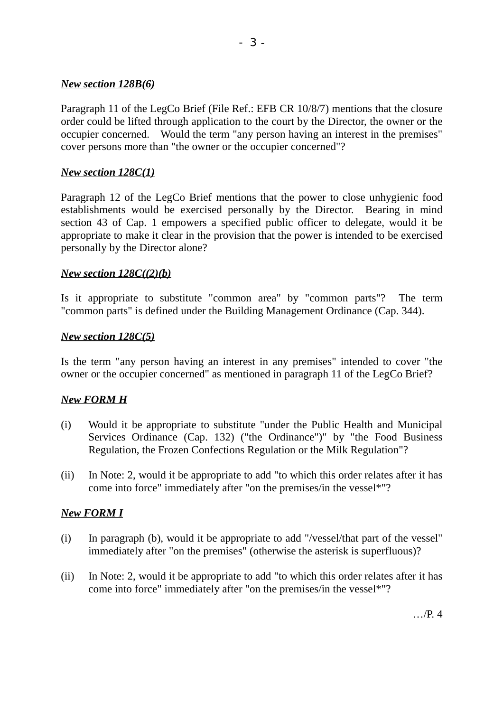### *New section 128B(6)*

Paragraph 11 of the LegCo Brief (File Ref.: EFB CR 10/8/7) mentions that the closure order could be lifted through application to the court by the Director, the owner or the occupier concerned. Would the term "any person having an interest in the premises" cover persons more than "the owner or the occupier concerned"?

### *New section 128C(1)*

Paragraph 12 of the LegCo Brief mentions that the power to close unhygienic food establishments would be exercised personally by the Director. Bearing in mind section 43 of Cap. 1 empowers a specified public officer to delegate, would it be appropriate to make it clear in the provision that the power is intended to be exercised personally by the Director alone?

### *New section 128C((2)(b)*

Is it appropriate to substitute "common area" by "common parts"? The term "common parts" is defined under the Building Management Ordinance (Cap. 344).

### *New section 128C(5)*

Is the term "any person having an interest in any premises" intended to cover "the owner or the occupier concerned" as mentioned in paragraph 11 of the LegCo Brief?

# *New FORM H*

- (i) Would it be appropriate to substitute "under the Public Health and Municipal Services Ordinance (Cap. 132) ("the Ordinance")" by "the Food Business Regulation, the Frozen Confections Regulation or the Milk Regulation"?
- (ii) In Note: 2, would it be appropriate to add "to which this order relates after it has come into force" immediately after "on the premises/in the vessel\*"?

### *New FORM I*

- (i) In paragraph (b), would it be appropriate to add "/vessel/that part of the vessel" immediately after "on the premises" (otherwise the asterisk is superfluous)?
- (ii) In Note: 2, would it be appropriate to add "to which this order relates after it has come into force" immediately after "on the premises/in the vessel\*"?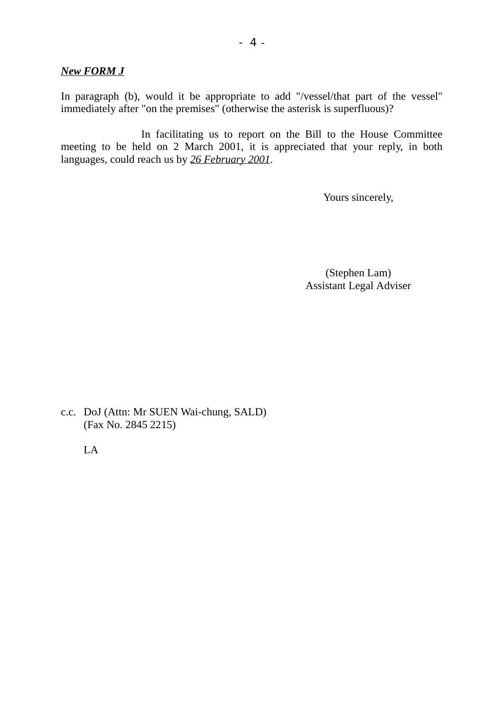*New FORM J*

In paragraph (b), would it be appropriate to add "/vessel/that part of the vessel" immediately after "on the premises" (otherwise the asterisk is superfluous)?

In facilitating us to report on the Bill to the House Committee meeting to be held on 2 March 2001, it is appreciated that your reply, in both languages, could reach us by *26 February 2001*.

Yours sincerely,

(Stephen Lam) Assistant Legal Adviser

c.c. DoJ (Attn: Mr SUEN Wai-chung, SALD) (Fax No. 2845 2215)

LA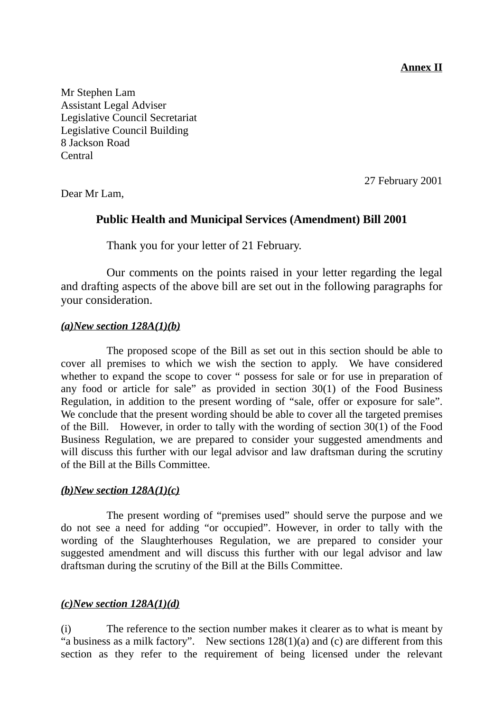**Annex II**

Mr Stephen Lam Assistant Legal Adviser Legislative Council Secretariat Legislative Council Building 8 Jackson Road Central

27 February 2001

Dear Mr Lam,

# **Public Health and Municipal Services (Amendment) Bill 2001**

Thank you for your letter of 21 February.

Our comments on the points raised in your letter regarding the legal and drafting aspects of the above bill are set out in the following paragraphs for your consideration.

### *(a)New section 128A(1)(b)*

The proposed scope of the Bill as set out in this section should be able to cover all premises to which we wish the section to apply. We have considered whether to expand the scope to cover " possess for sale or for use in preparation of any food or article for sale" as provided in section 30(1) of the Food Business Regulation, in addition to the present wording of "sale, offer or exposure for sale". We conclude that the present wording should be able to cover all the targeted premises of the Bill. However, in order to tally with the wording of section 30(1) of the Food Business Regulation, we are prepared to consider your suggested amendments and will discuss this further with our legal advisor and law draftsman during the scrutiny of the Bill at the Bills Committee.

# *(b)New section 128A(1)(c)*

The present wording of "premises used" should serve the purpose and we do not see a need for adding "or occupied". However, in order to tally with the wording of the Slaughterhouses Regulation, we are prepared to consider your suggested amendment and will discuss this further with our legal advisor and law draftsman during the scrutiny of the Bill at the Bills Committee.

# *(c)New section 128A(1)(d)*

(i) The reference to the section number makes it clearer as to what is meant by "a business as a milk factory". New sections  $128(1)(a)$  and (c) are different from this section as they refer to the requirement of being licensed under the relevant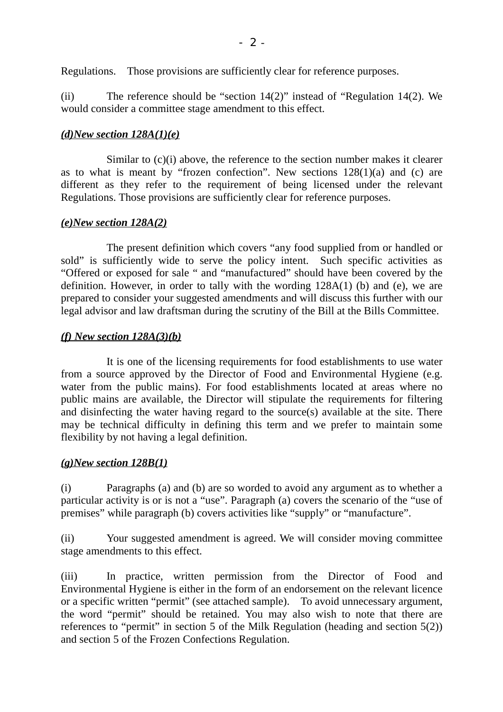Regulations. Those provisions are sufficiently clear for reference purposes.

(ii) The reference should be "section 14(2)" instead of "Regulation 14(2). We would consider a committee stage amendment to this effect.

### *(d)New section 128A(1)(e)*

Similar to  $(c)(i)$  above, the reference to the section number makes it clearer as to what is meant by "frozen confection". New sections  $128(1)(a)$  and (c) are different as they refer to the requirement of being licensed under the relevant Regulations. Those provisions are sufficiently clear for reference purposes.

### *(e)New section 128A(2)*

The present definition which covers "any food supplied from or handled or sold" is sufficiently wide to serve the policy intent. Such specific activities as "Offered or exposed for sale " and "manufactured" should have been covered by the definition. However, in order to tally with the wording 128A(1) (b) and (e), we are prepared to consider your suggested amendments and will discuss this further with our legal advisor and law draftsman during the scrutiny of the Bill at the Bills Committee.

# *(f) New section 128A(3)(b)*

It is one of the licensing requirements for food establishments to use water from a source approved by the Director of Food and Environmental Hygiene (e.g. water from the public mains). For food establishments located at areas where no public mains are available, the Director will stipulate the requirements for filtering and disinfecting the water having regard to the source(s) available at the site. There may be technical difficulty in defining this term and we prefer to maintain some flexibility by not having a legal definition.

### *(g)New section 128B(1)*

(i) Paragraphs (a) and (b) are so worded to avoid any argument as to whether a particular activity is or is not a "use". Paragraph (a) covers the scenario of the "use of premises" while paragraph (b) covers activities like "supply" or "manufacture".

(ii) Your suggested amendment is agreed. We will consider moving committee stage amendments to this effect.

(iii) In practice, written permission from the Director of Food and Environmental Hygiene is either in the form of an endorsement on the relevant licence or a specific written "permit" (see attached sample). To avoid unnecessary argument, the word "permit" should be retained. You may also wish to note that there are references to "permit" in section 5 of the Milk Regulation (heading and section 5(2)) and section 5 of the Frozen Confections Regulation.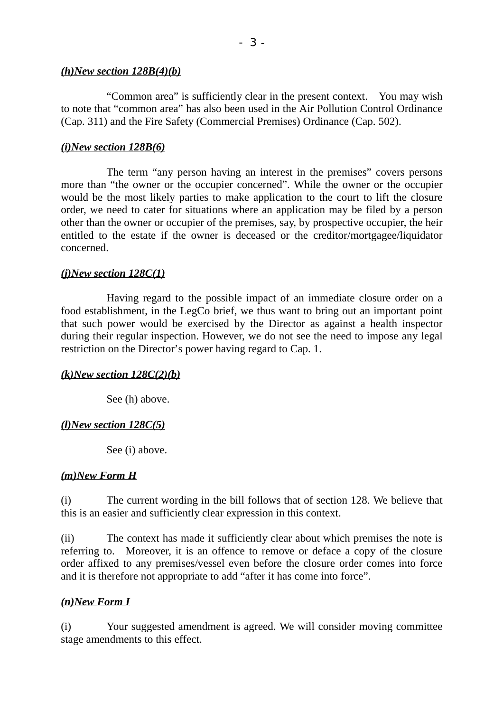#### *(h)New section 128B(4)(b)*

"Common area" is sufficiently clear in the present context. You may wish to note that "common area" has also been used in the Air Pollution Control Ordinance (Cap. 311) and the Fire Safety (Commercial Premises) Ordinance (Cap. 502).

### *(i)New section 128B(6)*

The term "any person having an interest in the premises" covers persons more than "the owner or the occupier concerned". While the owner or the occupier would be the most likely parties to make application to the court to lift the closure order, we need to cater for situations where an application may be filed by a person other than the owner or occupier of the premises, say, by prospective occupier, the heir entitled to the estate if the owner is deceased or the creditor/mortgagee/liquidator concerned.

#### *(j)New section 128C(1)*

Having regard to the possible impact of an immediate closure order on a food establishment, in the LegCo brief, we thus want to bring out an important point that such power would be exercised by the Director as against a health inspector during their regular inspection. However, we do not see the need to impose any legal restriction on the Director's power having regard to Cap. 1.

### *(k)New section 128C(2)(b)*

See (h) above.

### *(l)New section 128C(5)*

See (i) above.

#### *(m)New Form H*

(i) The current wording in the bill follows that of section 128. We believe that this is an easier and sufficiently clear expression in this context.

(ii) The context has made it sufficiently clear about which premises the note is referring to. Moreover, it is an offence to remove or deface a copy of the closure order affixed to any premises/vessel even before the closure order comes into force and it is therefore not appropriate to add "after it has come into force".

#### *(n)New Form I*

(i) Your suggested amendment is agreed. We will consider moving committee stage amendments to this effect.